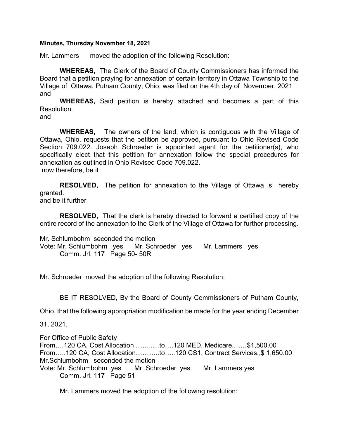## Minutes, Thursday November 18, 2021

Mr. Lammers moved the adoption of the following Resolution:

WHEREAS, The Clerk of the Board of County Commissioners has informed the Board that a petition praying for annexation of certain territory in Ottawa Township to the Village of Ottawa, Putnam County, Ohio, was filed on the 4th day of November, 2021 and

WHEREAS, Said petition is hereby attached and becomes a part of this Resolution.

and

 WHEREAS, The owners of the land, which is contiguous with the Village of Ottawa, Ohio, requests that the petition be approved, pursuant to Ohio Revised Code Section 709.022. Joseph Schroeder is appointed agent for the petitioner(s), who specifically elect that this petition for annexation follow the special procedures for annexation as outlined in Ohio Revised Code 709.022. now therefore, be it

**RESOLVED,** The petition for annexation to the Village of Ottawa is hereby granted. and be it further

RESOLVED, That the clerk is hereby directed to forward a certified copy of the entire record of the annexation to the Clerk of the Village of Ottawa for further processing.

Mr. Schlumbohm seconded the motion Vote: Mr. Schlumbohm yes Mr. Schroeder yes Mr. Lammers yes Comm. Jrl. 117 Page 50- 50R

Mr. Schroeder moved the adoption of the following Resolution:

BE IT RESOLVED, By the Board of County Commissioners of Putnam County,

Ohio, that the following appropriation modification be made for the year ending December

31, 2021.

For Office of Public Safety From….120 CA, Cost Allocation ……..…to….120 MED, Medicare.……\$1,500.00 From…..120 CA, Cost Allocation………..to…..120 CS1, Contract Services,,\$ 1,650.00 Mr.Schlumbohm seconded the motion Vote: Mr. Schlumbohm yes Mr. Schroeder yes Mr. Lammers yes Comm. Jrl. 117 Page 51

Mr. Lammers moved the adoption of the following resolution: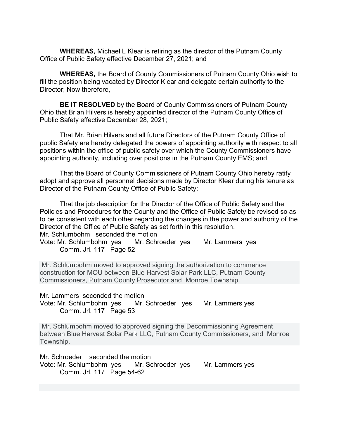WHEREAS, Michael L Klear is retiring as the director of the Putnam County Office of Public Safety effective December 27, 2021; and

WHEREAS, the Board of County Commissioners of Putnam County Ohio wish to fill the position being vacated by Director Klear and delegate certain authority to the Director; Now therefore,

BE IT RESOLVED by the Board of County Commissioners of Putnam County Ohio that Brian Hilvers is hereby appointed director of the Putnam County Office of Public Safety effective December 28, 2021;

That Mr. Brian Hilvers and all future Directors of the Putnam County Office of public Safety are hereby delegated the powers of appointing authority with respect to all positions within the office of public safety over which the County Commissioners have appointing authority, including over positions in the Putnam County EMS; and

That the Board of County Commissioners of Putnam County Ohio hereby ratify adopt and approve all personnel decisions made by Director Klear during his tenure as Director of the Putnam County Office of Public Safety;

That the job description for the Director of the Office of Public Safety and the Policies and Procedures for the County and the Office of Public Safety be revised so as to be consistent with each other regarding the changes in the power and authority of the Director of the Office of Public Safety as set forth in this resolution. Mr. Schlumbohm seconded the motion

Vote: Mr. Schlumbohm yes Mr. Schroeder yes Mr. Lammers yes Comm. Jrl. 117 Page 52

 Mr. Schlumbohm moved to approved signing the authorization to commence construction for MOU between Blue Harvest Solar Park LLC, Putnam County Commissioners, Putnam County Prosecutor and Monroe Township.

Mr. Lammers seconded the motion Vote: Mr. Schlumbohm yes Mr. Schroeder yes Mr. Lammers yes

Comm. Jrl. 117 Page 53

 Mr. Schlumbohm moved to approved signing the Decommissioning Agreement between Blue Harvest Solar Park LLC, Putnam County Commissioners, and Monroe Township.

Mr. Schroeder seconded the motion Vote: Mr. Schlumbohm yes Mr. Schroeder yes Mr. Lammers yes Comm. Jrl. 117 Page 54-62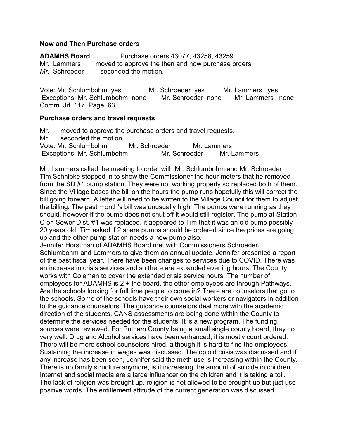## Now and Then Purchase orders

ADAMHS Board…………. Purchase orders 43077, 43258, 43259 Mr. Lammers moved to approve the then and now purchase orders. Mr. Schroeder seconded the motion.

Vote: Mr. Schlumbohm yes Mr. Schroeder yes Mr. Lammers yes Exceptions: Mr. Schlumbohm none Mr. Schroeder none Mr. Lammers none Comm. Jrl. 117, Page 63

## Purchase orders and travel requests

Mr. moved to approve the purchase orders and travel requests. Mr. seconded the motion. Vote: Mr. Schlumbohm Mr. Schroeder Mr. Lammers Exceptions: Mr. Schlumbohm Mr. Schroeder Mr. Lammers

Mr. Lammers called the meeting to order with Mr. Schlumbohm and Mr. Schroeder Tim Schnipke stopped in to show the Commissioner the hour meters that he removed from the SD #1 pump station. They were not working properly so replaced both of them. Since the Village bases the bill on the hours the pump runs hopefully this will correct the bill going forward. A letter will need to be written to the Village Council for them to adjust the billing. The past month's bill was unusually high. The pumps were running as they should, however if the pump does not shut off it would still register. The pump at Station C on Sewer Dist. #1 was replaced, it appeared to Tim that it was an old pump possibly 20 years old. Tim asked if 2 spare pumps should be ordered since the prices are going up and the other pump station needs a new pump also.

Jennifer Horstman of ADAMHS Board met with Commissioners Schroeder, Schlumbohm and Lammers to give them an annual update. Jennifer presented a report of the past fiscal year. There have been changes to services due to COVID. There was an increase in crisis services and so there are expanded evening hours. The County works with Coleman to cover the extended crisis service hours. The number of employees for ADAMHS is 2 + the board, the other employees are through Pathways. Are the schools looking for full time people to come in? There are counselors that go to the schools. Some of the schools have their own social workers or navigators in addition to the guidance counselors. The guidance counselors deal more with the academic direction of the students. CANS assessments are being done within the County to determine the services needed for the students. It is a new program. The funding sources were reviewed. For Putnam County being a small single county board, they do very well. Drug and Alcohol services have been enhanced; it is mostly court ordered. There will be more school counselors hired, although it is hard to find the employees. Sustaining the increase in wages was discussed. The opioid crisis was discussed and if any increase has been seen, Jennifer said the meth use is increasing within the County. There is no family structure anymore, is it increasing the amount of suicide in children. Internet and social media are a large influencer on the children and it is taking a toll. The lack of religion was brought up, religion is not allowed to be brought up but just use positive words. The entitlement attitude of the current generation was discussed.